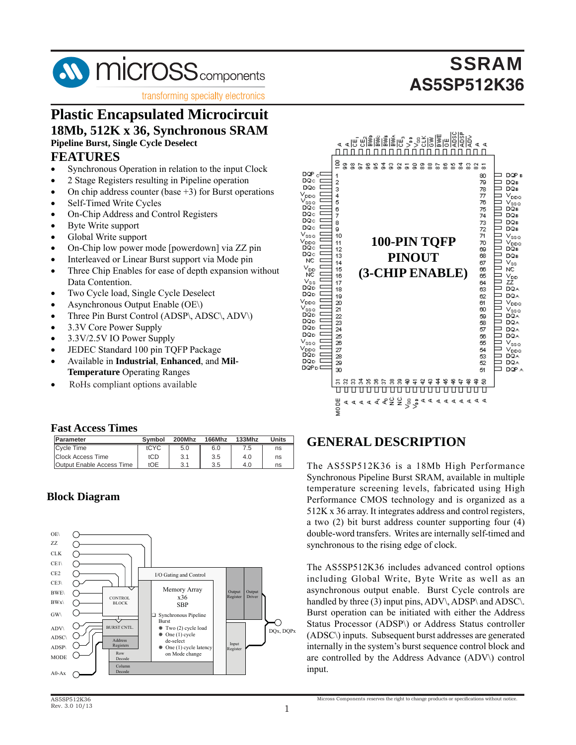

transforming specialty electronics

### **Plastic Encapsulated Microcircuit 18Mb, 512K x 36, Synchronous SRAM Pipeline Burst, Single Cycle Deselect**

### **FEATURES**

- Synchronous Operation in relation to the input Clock
- 2 Stage Registers resulting in Pipeline operation
- On chip address counter (base  $+3$ ) for Burst operations
- Self-Timed Write Cycles
- On-Chip Address and Control Registers
- Byte Write support
- Global Write support
- On-Chip low power mode [powerdown] via ZZ pin
- Interleaved or Linear Burst support via Mode pin
- Three Chip Enables for ease of depth expansion without Data Contention.
- Two Cycle load, Single Cycle Deselect
- Asynchronous Output Enable (OE\)
- Three Pin Burst Control (ADSP\, ADSC\, ADV\)
- 3.3V Core Power Supply
- 3.3V/2.5V IO Power Supply
- JEDEC Standard 100 pin TQFP Package
- Available in **Industrial**, **Enhanced**, and **Mil-Temperature** Operating Ranges
- RoHs compliant options available

#### **Fast Access Times**

| Parameter                 | Symbol | 200Mhz | 166Mhz | 133Mhz | Units |
|---------------------------|--------|--------|--------|--------|-------|
| <b>Cycle Time</b>         | tCYC   | 5.0    | 6.0    | 7.5    | ns    |
| <b>Clock Access Time</b>  | tCD    | 3.1    | 3.5    | 4.0    | ns    |
| Output Enable Access Time | tOE    | 3.1    | 3.5    | 4.0    | ns    |

### **Block Diagram**





### **GENERAL DESCRIPTION**

The AS5SP512K36 is a 18Mb High Performance Synchronous Pipeline Burst SRAM, available in multiple temperature screening levels, fabricated using High Performance CMOS technology and is organized as a 512K x 36 array. It integrates address and control registers, a two (2) bit burst address counter supporting four (4) double-word transfers. Writes are internally self-timed and synchronous to the rising edge of clock.

The AS5SP512K36 includes advanced control options including Global Write, Byte Write as well as an asynchronous output enable. Burst Cycle controls are handled by three (3) input pins, ADV\, ADSP\ and ADSC\. Burst operation can be initiated with either the Address Status Processor (ADSP\) or Address Status controller (ADSC\) inputs. Subsequent burst addresses are generated internally in the system's burst sequence control block and are controlled by the Address Advance (ADV\) control input.

Micross Components reserves the right to change products or specifications without notice.

# **SSRAM AS5SP512K36**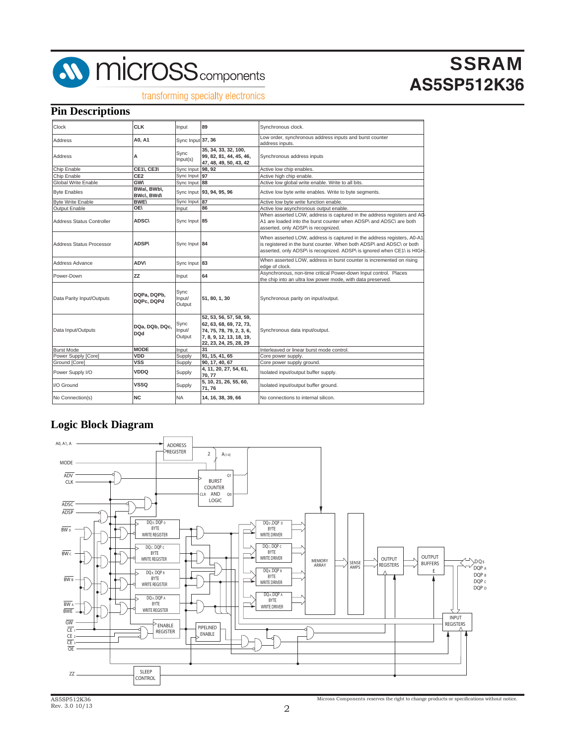

#### transforming specialty electronics

### **Pin Descriptions**

| Clock                            | <b>CLK</b>                   | Input                    | 89                                                                                                                                   | Synchronous clock.                                                                                                                                                                                                         |
|----------------------------------|------------------------------|--------------------------|--------------------------------------------------------------------------------------------------------------------------------------|----------------------------------------------------------------------------------------------------------------------------------------------------------------------------------------------------------------------------|
| Address                          | A0. A1                       | Sync Input 37, 36        |                                                                                                                                      | Low order, synchronous address inputs and burst counter<br>address inputs.                                                                                                                                                 |
| <b>Address</b>                   | Α                            | Sync<br>Input(s)         | 35, 34, 33, 32, 100,<br>99, 82, 81, 44, 45, 46,<br>47, 48, 49, 50, 43, 42                                                            | Synchronous address inputs                                                                                                                                                                                                 |
| Chip Enable                      | <b>CE1\, CE3\</b>            | Sync Input 98, 92        |                                                                                                                                      | Active low chip enables.                                                                                                                                                                                                   |
| Chip Enable                      | CE <sub>2</sub>              | Sync Input 97            |                                                                                                                                      | Active high chip enable.                                                                                                                                                                                                   |
| Global Write Enable              | GW\                          | Sync Input 88            |                                                                                                                                      | Active low global write enable. Write to all bits.                                                                                                                                                                         |
| <b>Byte Enables</b>              | BWal, BWbl,<br>BWc\, BWd\    |                          | Sync Input 93, 94, 95, 96                                                                                                            | Active low byte write enables. Write to byte segments.                                                                                                                                                                     |
| <b>Byte Write Enable</b>         | <b>BWE\</b>                  | Sync Input 87            |                                                                                                                                      | Active low byte write function enable.                                                                                                                                                                                     |
| Output Enable                    | OE\                          | Input                    | 86                                                                                                                                   | Active low asynchronous output enable.                                                                                                                                                                                     |
| <b>Address Status Controller</b> | <b>ADSC\</b>                 | Sync Input 85            |                                                                                                                                      | When asserted LOW, address is captured in the address registers and A0-<br>A1 are loaded into the burst counter when ADSP\ and ADSC\ are both<br>asserted, only ADSP\ is recognized.                                       |
| Address Status Processor         | <b>ADSP\</b>                 | Sync Input 84            |                                                                                                                                      | When asserted LOW, address is captured in the address registers, A0-A1<br>is registered in the burst counter. When both ADSP\ and ADSC\ or both<br>asserted, only ADSP\ is recognized. ADSP\ is ignored when CE1\ is HIGH. |
| Address Advance                  | <b>ADV\</b>                  | Sync Input 83            |                                                                                                                                      | When asserted LOW, address in burst counter is incremented on rising<br>edge of clock.                                                                                                                                     |
| Power-Down                       | <b>ZZ</b>                    | Input                    | 64                                                                                                                                   | Asynchronous, non-time critical Power-down Input control. Places<br>the chip into an ultra low power mode, with data preserved.                                                                                            |
| Data Parity Input/Outputs        | DQPa, DQPb,<br>DQPc, DQPd    | Sync<br>Input/<br>Output | 51, 80, 1, 30                                                                                                                        | Synchronous parity on input/output.                                                                                                                                                                                        |
| Data Input/Outputs               | DQa, DQb, DQc,<br><b>DOd</b> | Sync<br>Input/<br>Output | 52, 53, 56, 57, 58, 59,<br>62, 63, 68, 69, 72, 73,<br>74, 75, 78, 79, 2, 3, 6,<br>7, 8, 9, 12, 13, 18, 19,<br>22, 23, 24, 25, 28, 29 | Synchronous data input/output.                                                                                                                                                                                             |
| <b>Burst Mode</b>                | <b>MODE</b>                  | Input                    | 31                                                                                                                                   | Interleaved or linear burst mode control.                                                                                                                                                                                  |
| Power Supply [Core]              | <b>VDD</b>                   | Supply                   | 91, 15, 41, 65                                                                                                                       | Core power supply.                                                                                                                                                                                                         |
| Ground [Core]                    | VSS                          | Supply                   | 90, 17, 40, 67                                                                                                                       | Core power supply ground.                                                                                                                                                                                                  |
| Power Supply I/O                 | VDDQ                         | Supply                   | 4, 11, 20, 27, 54, 61,<br>70.77                                                                                                      | Isolated input/output buffer supply.                                                                                                                                                                                       |
| I/O Ground                       | <b>VSSQ</b>                  | Supply                   | 5, 10, 21, 26, 55, 60,<br>71.76                                                                                                      | Isolated input/output buffer ground.                                                                                                                                                                                       |
| No Connection(s)                 | <b>NC</b>                    | <b>NA</b>                | 14, 16, 38, 39, 66                                                                                                                   | No connections to internal silicon.                                                                                                                                                                                        |

### **Logic Block Diagram**

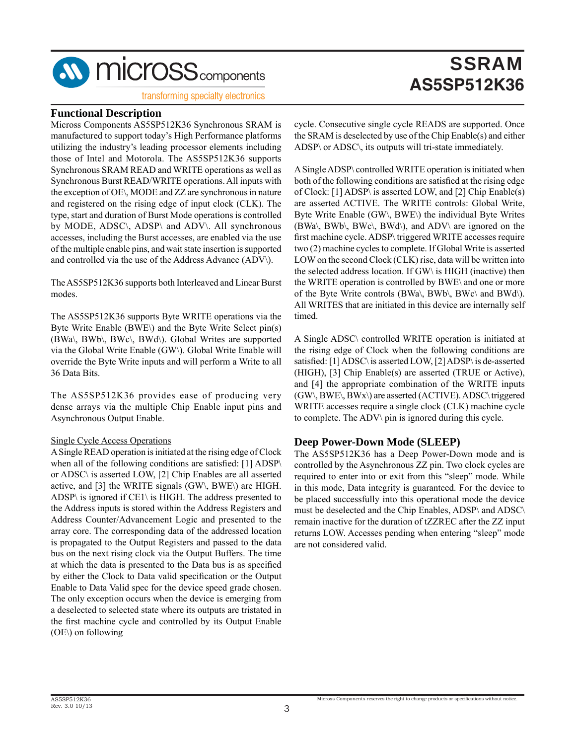

#### transforming specialty electronics

#### **Functional Description**

Micross Components AS5SP512K36 Synchronous SRAM is manufactured to support today's High Performance platforms utilizing the industry's leading processor elements including those of Intel and Motorola. The AS5SP512K36 supports Synchronous SRAM READ and WRITE operations as well as Synchronous Burst READ/WRITE operations. All inputs with the exception of OE\, MODE and ZZ are synchronous in nature and registered on the rising edge of input clock (CLK). The type, start and duration of Burst Mode operations is controlled by MODE, ADSC\, ADSP\ and ADV\. All synchronous accesses, including the Burst accesses, are enabled via the use of the multiple enable pins, and wait state insertion is supported and controlled via the use of the Address Advance (ADV\).

The AS5SP512K36 supports both Interleaved and Linear Burst modes.

The AS5SP512K36 supports Byte WRITE operations via the Byte Write Enable (BWE\) and the Byte Write Select pin(s) (BWa\, BWb\, BWc\, BWd\). Global Writes are supported via the Global Write Enable (GW\). Global Write Enable will override the Byte Write inputs and will perform a Write to all 36 Data Bits.

The AS5SP512K36 provides ease of producing very dense arrays via the multiple Chip Enable input pins and Asynchronous Output Enable.

#### Single Cycle Access Operations

A Single READ operation is initiated at the rising edge of Clock when all of the following conditions are satisfied:  $[1]$  ADSP $\setminus$ or ADSC\ is asserted LOW, [2] Chip Enables are all asserted active, and [3] the WRITE signals (GW\, BWE\) are HIGH. ADSP\ is ignored if CE1\ is HIGH. The address presented to the Address inputs is stored within the Address Registers and Address Counter/Advancement Logic and presented to the array core. The corresponding data of the addressed location is propagated to the Output Registers and passed to the data bus on the next rising clock via the Output Buffers. The time at which the data is presented to the Data bus is as specified by either the Clock to Data valid specification or the Output Enable to Data Valid spec for the device speed grade chosen. The only exception occurs when the device is emerging from a deselected to selected state where its outputs are tristated in the first machine cycle and controlled by its Output Enable (OE\) on following

cycle. Consecutive single cycle READS are supported. Once the SRAM is deselected by use of the Chip Enable(s) and either ADSP\ or ADSC\, its outputs will tri-state immediately.

A Single ADSP\ controlled WRITE operation is initiated when both of the following conditions are satisfied at the rising edge of Clock: [1] ADSP\ is asserted LOW, and [2] Chip Enable(s) are asserted ACTIVE. The WRITE controls: Global Write, Byte Write Enable (GW\, BWE\) the individual Byte Writes  $(BWa\lambda, BWb\lambda, BWc\lambda, BWd\lambda)$ , and ADV $\lambda$  are ignored on the first machine cycle. ADSP\ triggered WRITE accesses require two (2) machine cycles to complete. If Global Write is asserted LOW on the second Clock (CLK) rise, data will be written into the selected address location. If GW\ is HIGH (inactive) then the WRITE operation is controlled by BWE\ and one or more of the Byte Write controls (BWa\, BWb\, BWc\ and BWd\). All WRITES that are initiated in this device are internally self timed.

A Single ADSC\ controlled WRITE operation is initiated at the rising edge of Clock when the following conditions are satisfied: [1] ADSC\ is asserted LOW, [2] ADSP\ is de-asserted (HIGH), [3] Chip Enable(s) are asserted (TRUE or Active), and [4] the appropriate combination of the WRITE inputs (GW\, BWE\, BWx\) are asserted (ACTIVE). ADSC\ triggered WRITE accesses require a single clock (CLK) machine cycle to complete. The ADV\ pin is ignored during this cycle.

#### **Deep Power-Down Mode (SLEEP)**

The AS5SP512K36 has a Deep Power-Down mode and is controlled by the Asynchronous ZZ pin. Two clock cycles are required to enter into or exit from this "sleep" mode. While in this mode, Data integrity is guaranteed. For the device to be placed successfully into this operational mode the device must be deselected and the Chip Enables, ADSP\ and ADSC\ remain inactive for the duration of tZZREC after the ZZ input returns LOW. Accesses pending when entering "sleep" mode are not considered valid.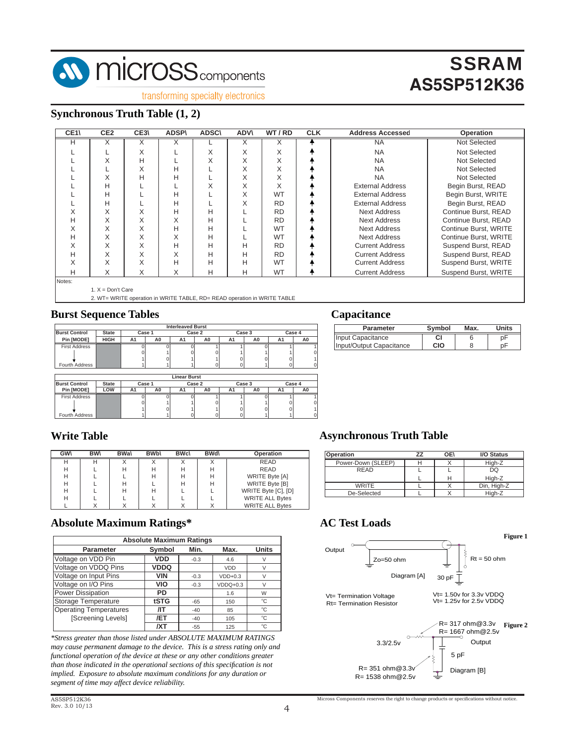

transforming specialty electronics

### **Synchronous Truth Table (1, 2)**

| CE <sub>1</sub> | CE <sub>2</sub>     | CE3\ | <b>ADSP\</b> | <b>ADSC\</b> | <b>ADV\</b> | WT/RD     | <b>CLK</b> | <b>Address Accessed</b> | Operation             |
|-----------------|---------------------|------|--------------|--------------|-------------|-----------|------------|-------------------------|-----------------------|
| Н               | X                   | X    | Χ            |              | X           |           |            | <b>NA</b>               | Not Selected          |
|                 |                     | X    |              | X            | X           | X         |            | <b>NA</b>               | <b>Not Selected</b>   |
|                 | X                   | н    |              | X            | X           | X         |            | <b>NA</b>               | <b>Not Selected</b>   |
|                 |                     | X    | Н            |              | X           | X         |            | <b>NA</b>               | Not Selected          |
|                 | X                   | н    | Н            |              | X           | X         |            | <b>NA</b>               | Not Selected          |
|                 | Н                   |      |              | X            | X           | X         |            | <b>External Address</b> | Begin Burst, READ     |
|                 | н                   |      | Н            |              | X           | <b>WT</b> |            | <b>External Address</b> | Begin Burst, WRITE    |
|                 | н                   |      | H            |              | X           | <b>RD</b> |            | <b>External Address</b> | Begin Burst, READ     |
| X               | X                   | X    | H            | Н            |             | <b>RD</b> |            | <b>Next Address</b>     | Continue Burst, READ  |
| н               | X                   | X    | X            | Н            |             | <b>RD</b> |            | Next Address            | Continue Burst, READ  |
| X               | X                   | X    | H            | Н            |             | <b>WT</b> |            | <b>Next Address</b>     | Continue Burst, WRITE |
| н               | X                   | X    | X            | н            |             | <b>WT</b> |            | <b>Next Address</b>     | Continue Burst, WRITE |
| X               | X                   | X    | H            | н            | н           | <b>RD</b> |            | <b>Current Address</b>  | Suspend Burst, READ   |
| н               | X                   | X    | X            | н            | Н           | <b>RD</b> |            | <b>Current Address</b>  | Suspend Burst, READ   |
| X               | X                   | X    | H            | н            | н           | <b>WT</b> |            | <b>Current Address</b>  | Suspend Burst, WRITE  |
| н               | X                   | X    | X            | Н            | Н           | <b>WT</b> |            | <b>Current Address</b>  | Suspend Burst, WRITE  |
| Notes:          |                     |      |              |              |             |           |            |                         |                       |
|                 | 1. $X = Don't Care$ |      |              |              |             |           |            |                         |                       |

2. WT= WRITE operation in WRITE TABLE, RD= READ operation in WRITE TABLE

#### **Burst Sequence Tables**

|                      |              |        |    | <b>Interleaved Burst</b> |                |    |        |        |    |
|----------------------|--------------|--------|----|--------------------------|----------------|----|--------|--------|----|
| <b>Burst Control</b> | <b>State</b> | Case 1 |    |                          | Case 2         |    | Case 3 | Case 4 |    |
| Pin [MODE]           | <b>HIGH</b>  | A1     | A0 | A1                       | A <sub>0</sub> | A1 | A0     | A1     | A0 |
| <b>First Address</b> |              |        |    |                          |                |    |        |        |    |
|                      |              |        |    |                          |                |    |        |        | n  |
|                      |              |        |    |                          |                |    |        |        |    |
| Fourth Address       |              |        |    |                          |                |    |        |        |    |
|                      |              |        |    |                          |                |    |        |        |    |
|                      |              |        |    | <b>Linear Burst</b>      |                |    |        |        |    |

|                      |              |        |    | ------------ |    |    |        |    |        |
|----------------------|--------------|--------|----|--------------|----|----|--------|----|--------|
| <b>Burst Control</b> | <b>State</b> | Case 1 |    | Case 2       |    |    | Case 3 |    | Case 4 |
| Pin IMODE1           | LOW          | A1     | A0 | A1           | A0 | A1 | A0     | A٦ |        |
| <b>First Address</b> |              |        |    |              |    |    |        |    |        |
|                      |              |        |    |              |    |    |        |    | 0      |
|                      |              |        |    |              |    |    |        |    |        |
| Fourth Address       |              |        |    |              |    |    |        |    |        |

#### **Capacitance**

| <b>Parameter</b>         | Svmbol | Max. | <b>Units</b> |
|--------------------------|--------|------|--------------|
| Input Capacitance        |        |      |              |
| Input/Output Capacitance | ∩ו∩    |      |              |

#### **Write Table**

| <b>GWV</b> | <b>BW</b> | <b>BWal</b> | <b>BWb</b> | <b>BWc\</b> | <b>BWd</b> | Operation              |
|------------|-----------|-------------|------------|-------------|------------|------------------------|
| н          | н         |             |            |             |            | <b>READ</b>            |
| н          |           | н           |            | н           | н          | <b>READ</b>            |
| н          |           |             |            | н           | н          | WRITE Byte [A]         |
| н          |           | н           |            | н           | н          | <b>WRITE Byte [B]</b>  |
| н          |           | н           |            |             |            | WRITE Byte [C], [D]    |
| н          |           |             |            |             |            | <b>WRITE ALL Bytes</b> |
|            |           |             |            |             |            | <b>WRITE ALL Bytes</b> |

#### **Absolute Maximum Ratings\***

|                               | <b>Absolute Maximum Ratings</b> |        |            |              |
|-------------------------------|---------------------------------|--------|------------|--------------|
| <b>Parameter</b>              | Symbol                          | Min.   | Max.       | <b>Units</b> |
| Voltage on VDD Pin            | VDD                             | $-0.3$ | 4.6        | V            |
| Voltage on VDDQ Pins          | <b>VDDQ</b>                     |        | <b>VDD</b> | $\vee$       |
| Voltage on Input Pins         | VIN                             | $-0.3$ | $VDD+0.3$  | $\vee$       |
| Voltage on I/O Pins           | VIO                             | $-0.3$ | $VDDQ+0.3$ | $\vee$       |
| Power Dissipation             | PD                              |        | 1.6        | W            |
| Storage Temperature           | tSTG                            | $-65$  | 150        | $^{\circ}C$  |
| <b>Operating Temperatures</b> | /IT                             | $-40$  | 85         | $^{\circ}C$  |
| [Screening Levels]            | /ET                             | $-40$  | 105        | $^{\circ}C$  |
|                               | /XT                             | $-55$  | 125        | °C           |

*\*Stress greater than those listed under ABSOLUTE MAXIMUM RATINGS may cause permanent damage to the device. This is a stress rating only and functional operation of the device at these or any other conditions greater than those indicated in the operational sections of this specification is not implied. Exposure to absolute maximum conditions for any duration or segment of time may affect device reliability.*

#### **Asynchronous Truth Table**

| Operation          | OE\ | I/O Status  |
|--------------------|-----|-------------|
| Power-Down (SLEEP) |     | High-Z      |
| READ               |     | DQ          |
|                    | Н   | High-Z      |
| <b>WRITE</b>       |     | Din, High-Z |
| De-Selected        |     | High-Z      |

#### **AC Test Loads**

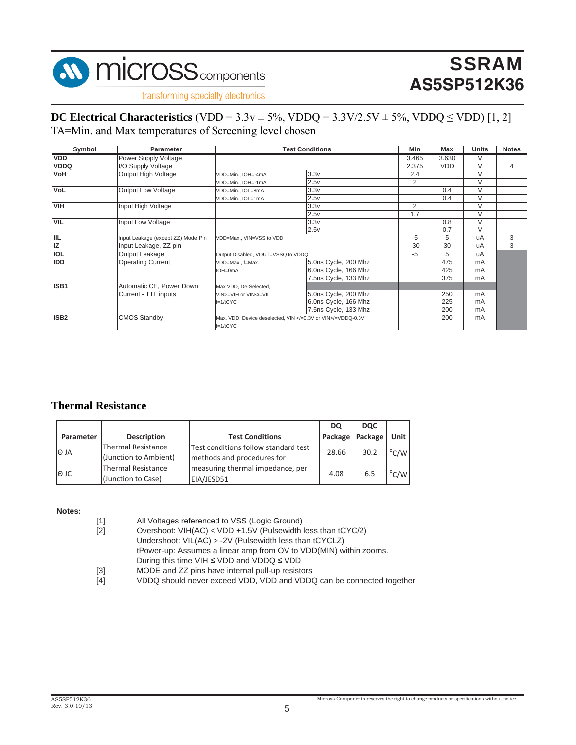

transforming specialty electronics

### **DC Electrical Characteristics**  $(VDD = 3.3v \pm 5\%, VDDQ = 3.3V/2.5V \pm 5\%, VDDQ \le VDD)$  [1, 2] TA=Min. and Max temperatures of Screening level chosen

| Symbol           | <b>Parameter</b>                   |                                                                                                     | <b>Test Conditions</b>                                    | Min            | Max        | <b>Units</b> | <b>Notes</b> |
|------------------|------------------------------------|-----------------------------------------------------------------------------------------------------|-----------------------------------------------------------|----------------|------------|--------------|--------------|
| <b>VDD</b>       | Power Supply Voltage               |                                                                                                     |                                                           | 3.465          | 3.630      | $\vee$       |              |
| <b>VDDQ</b>      | I/O Supply Voltage                 |                                                                                                     |                                                           | 2.375          | <b>VDD</b> | V            | 4            |
| <b>NoV</b>       | Output High Voltage                | VDD=Min., IOH=-4mA                                                                                  | 3.3v                                                      | 2.4            |            | $\vee$       |              |
|                  |                                    | VDD=Min., IOH=-1mA                                                                                  | 2.5v                                                      | 2              |            | $\vee$       |              |
| <b>VoL</b>       | <b>Output Low Voltage</b>          | VDD=Min., IOL=8mA                                                                                   | 3.3v                                                      |                | 0.4        | $\vee$       |              |
|                  |                                    | VDD=Min., IOL=1mA                                                                                   | 2.5v                                                      |                | 0.4        | $\vee$       |              |
| <b>VIH</b>       | Input High Voltage                 |                                                                                                     | 3.3v                                                      | $\overline{2}$ |            | $\vee$       |              |
|                  |                                    |                                                                                                     | 2.5v                                                      | 1.7            |            | $\vee$       |              |
| <b>VIL</b>       | Input Low Voltage                  |                                                                                                     | 3.3v                                                      |                | 0.8        | $\vee$       |              |
|                  |                                    |                                                                                                     | 2.5v                                                      |                | 0.7        | V            |              |
| <b>IIL</b>       | Input Leakage (except ZZ) Mode Pin | VDD=Max., VIN=VSS to VDD                                                                            |                                                           | $-5$           | 5          | uA           | 3            |
| IZ               | Input Leakage, ZZ pin              |                                                                                                     |                                                           | $-30$          | 30         | uA           | 3            |
| <b>IOL</b>       | Output Leakage                     | Output Disabled, VOUT=VSSQ to VDDQ                                                                  |                                                           | $-5$           | 5          | uA           |              |
| <b>IDD</b>       | <b>Operating Current</b>           | VDD=Max., f=Max.,                                                                                   | 5.0ns Cycle, 200 Mhz                                      |                | 475        | mA           |              |
|                  |                                    | IOH=0mA                                                                                             | 6.0ns Cycle, 166 Mhz                                      |                | 425        | mA           |              |
|                  |                                    |                                                                                                     | 7.5ns Cycle, 133 Mhz                                      |                | 375        | mA           |              |
| ISB1             | Automatic CE, Power Down           | Max VDD, De-Selected,                                                                               |                                                           |                |            |              |              |
|                  | Current - TTL inputs               | VIN>=VIH or VIN =VIL</td <td>5.0ns Cycle, 200 Mhz</td> <td></td> <td>250</td> <td>mA</td> <td></td> | 5.0ns Cycle, 200 Mhz                                      |                | 250        | mA           |              |
|                  |                                    | $f=1/tCYC$                                                                                          | 6.0ns Cycle, 166 Mhz                                      |                | 225        | mA           |              |
|                  |                                    |                                                                                                     | 7.5ns Cycle, 133 Mhz                                      |                | 200        | mA           |              |
| ISB <sub>2</sub> | <b>CMOS Standby</b>                |                                                                                                     | Max. VDD, Device deselected, VIN =0.3V or VIN /=VDDQ-0.3V |                | 200        | mA           |              |
|                  |                                    | $f=1/tCYC$                                                                                          |                                                           |                |            |              |              |

#### **Thermal Resistance**

|             |                                                 |                                                                    | DQ    | <b>DOC</b>        |                |
|-------------|-------------------------------------------------|--------------------------------------------------------------------|-------|-------------------|----------------|
| Parameter   | <b>Description</b>                              | <b>Test Conditions</b>                                             |       | Package   Package | Unit I         |
| <b>O JA</b> | Thermal Resistance<br>(Junction to Ambient)     | Test conditions follow standard test<br>methods and procedures for | 28.66 | 30.2              | $^{\circ}$ C/W |
| l⊖ JC       | <b>Thermal Resistance</b><br>(Junction to Case) | measuring thermal impedance, per<br>EIA/JESD51                     | 4.08  | 6.5               | $^{\circ}$ C/W |

#### **Notes:**

| [1]               | All Voltages referenced to VSS (Logic Ground)                        |
|-------------------|----------------------------------------------------------------------|
| $[2]$             | Overshoot: VIH(AC) < VDD +1.5V (Pulsewidth less than tCYC/2)         |
|                   | Undershoot: $VIL(AC) > -2V$ (Pulsewidth less than tCYCLZ)            |
|                   | tPower-up: Assumes a linear amp from OV to VDD(MIN) within zooms.    |
|                   | During this time VIH $\le$ VDD and VDDQ $\le$ VDD                    |
| $\lceil 3 \rceil$ | MODE and ZZ pins have internal pull-up resistors                     |
| $[4]$             | VDDQ should never exceed VDD, VDD and VDDQ can be connected together |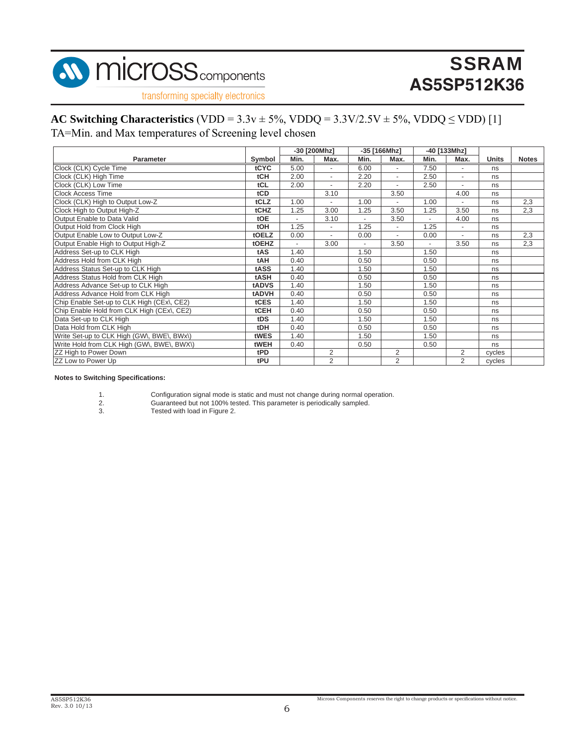

transforming specialty electronics

#### **AC Switching Characteristics**  $(VDD = 3.3v \pm 5\%, VDDQ = 3.3V/2.5V \pm 5\%, VDDQ \le VDD)$  [1]

TA=Min. and Max temperatures of Screening level chosen

|                                            |              | -30 [200Mhz]   |                          | -35 [166Mhz]   |                          | -40 [133Mhz] |                          |              |              |
|--------------------------------------------|--------------|----------------|--------------------------|----------------|--------------------------|--------------|--------------------------|--------------|--------------|
| <b>Parameter</b>                           | Symbol       | Min.           | Max.                     | Min.           | Max.                     | Min.         | Max.                     | <b>Units</b> | <b>Notes</b> |
| Clock (CLK) Cycle Time                     | tCYC         | 5.00           | $\overline{\phantom{a}}$ | 6.00           | $\overline{\phantom{a}}$ | 7.50         | $\overline{\phantom{a}}$ | ns           |              |
| Clock (CLK) High Time                      | <b>tCH</b>   | 2.00           | $\blacksquare$           | 2.20           | $\overline{\phantom{a}}$ | 2.50         | $\overline{\phantom{a}}$ | ns           |              |
| Clock (CLK) Low Time                       | tCL          | 2.00           | $\overline{a}$           | 2.20           | $\overline{\phantom{a}}$ | 2.50         | $\overline{a}$           | ns           |              |
| <b>Clock Access Time</b>                   | tCD          |                | 3.10                     |                | 3.50                     |              | 4.00                     | ns           |              |
| Clock (CLK) High to Output Low-Z           | tCLZ         | 1.00           |                          | 1.00           |                          | 1.00         |                          | ns           | 2,3          |
| Clock High to Output High-Z                | tCHZ         | 1.25           | 3.00                     | 1.25           | 3.50                     | 1.25         | 3.50                     | ns           | 2,3          |
| Output Enable to Data Valid                | tOE          | $\overline{a}$ | 3.10                     | $\overline{a}$ | 3.50                     |              | 4.00                     | ns           |              |
| Output Hold from Clock High                | <b>tOH</b>   | 1.25           | $\blacksquare$           | 1.25           | $\overline{\phantom{a}}$ | 1.25         | $\overline{\phantom{a}}$ | ns           |              |
| Output Enable Low to Output Low-Z          | tOELZ        | 0.00           | $\overline{\phantom{a}}$ | 0.00           | $\overline{\phantom{a}}$ | 0.00         | $\overline{\phantom{a}}$ | ns           | 2,3          |
| Output Enable High to Output High-Z        | tOEHZ        |                | 3.00                     |                | 3.50                     |              | 3.50                     | ns           | 2,3          |
| Address Set-up to CLK High                 | tAS          | 1.40           |                          | 1.50           |                          | 1.50         |                          | ns           |              |
| Address Hold from CLK High                 | tAH          | 0.40           |                          | 0.50           |                          | 0.50         |                          | ns           |              |
| Address Status Set-up to CLK High          | tASS         | 1.40           |                          | 1.50           |                          | 1.50         |                          | ns           |              |
| Address Status Hold from CLK High          | tASH         | 0.40           |                          | 0.50           |                          | 0.50         |                          | ns           |              |
| Address Advance Set-up to CLK High         | <b>tADVS</b> | 1.40           |                          | 1.50           |                          | 1.50         |                          | ns           |              |
| Address Advance Hold from CLK High         | tADVH        | 0.40           |                          | 0.50           |                          | 0.50         |                          | ns           |              |
| Chip Enable Set-up to CLK High (CEx\, CE2) | tCES         | 1.40           |                          | 1.50           |                          | 1.50         |                          | ns           |              |
| Chip Enable Hold from CLK High (CEx\, CE2) | tCEH         | 0.40           |                          | 0.50           |                          | 0.50         |                          | ns           |              |
| Data Set-up to CLK High                    | tDS          | 1.40           |                          | 1.50           |                          | 1.50         |                          | ns           |              |
| Data Hold from CLK High                    | tDH          | 0.40           |                          | 0.50           |                          | 0.50         |                          | ns           |              |
| Write Set-up to CLK High (GW), BWE\, BWx\) | tWES         | 1.40           |                          | 1.50           |                          | 1.50         |                          | ns           |              |
| Write Hold from CLK High (GW), BWE\, BWX\) | tWEH         | 0.40           |                          | 0.50           |                          | 0.50         |                          | ns           |              |
| ZZ High to Power Down                      | tPD          |                | 2                        |                | 2                        |              | $\overline{2}$           | cycles       |              |
| ZZ Low to Power Up                         | tPU          |                | $\overline{2}$           |                | 2                        |              | $\overline{2}$           | cycles       |              |

#### **Notes to Switching Specifications:**

- 
- Guaranteed but not 100% tested. This parameter is periodically sampled. Tested with load in Figure 2.

 $\overline{\text{Microsoft}}$  reserves the right to change products or specifications without notice.

<sup>1.</sup> Configuration signal mode is static and must not change during normal operation.<br>
2. Guaranteed but not 100% tested. This parameter is periodically sampled.<br>
3. Tested with load in Figure 2.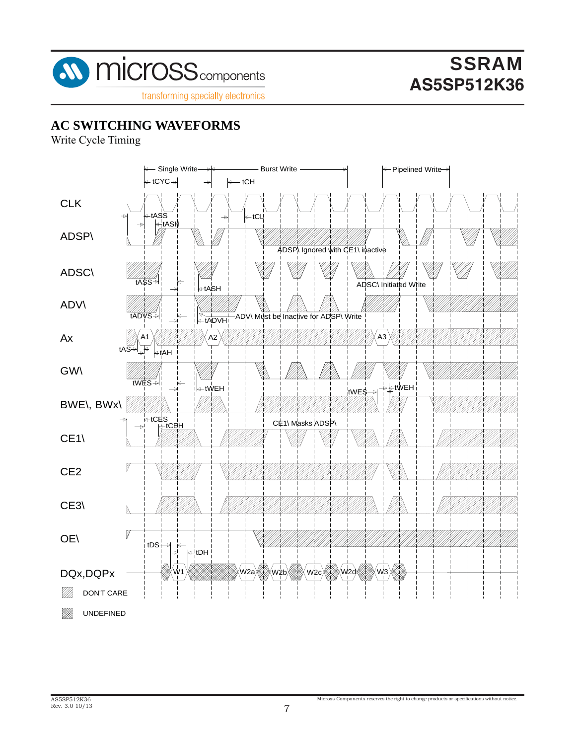

**AC SWITCHING WAVEFORMS**

Write Cycle Timing

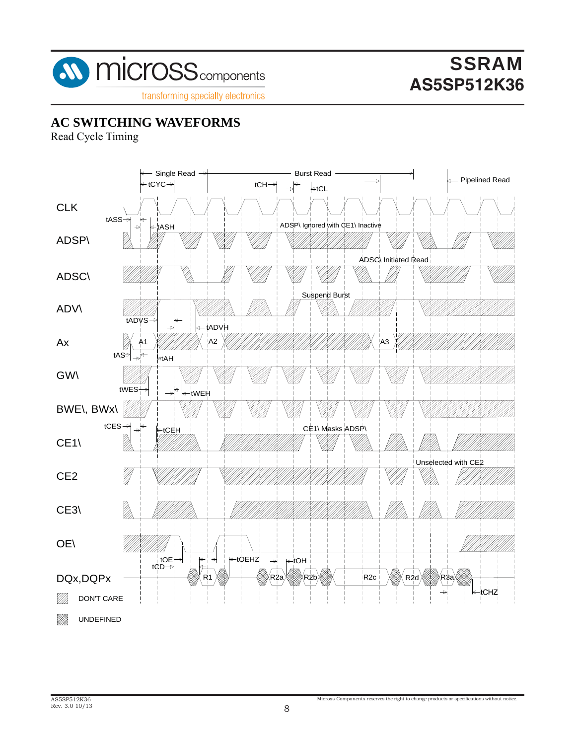

transforming specialty electronics

### **AC SWITCHING WAVEFORMS**

Read Cycle Timing

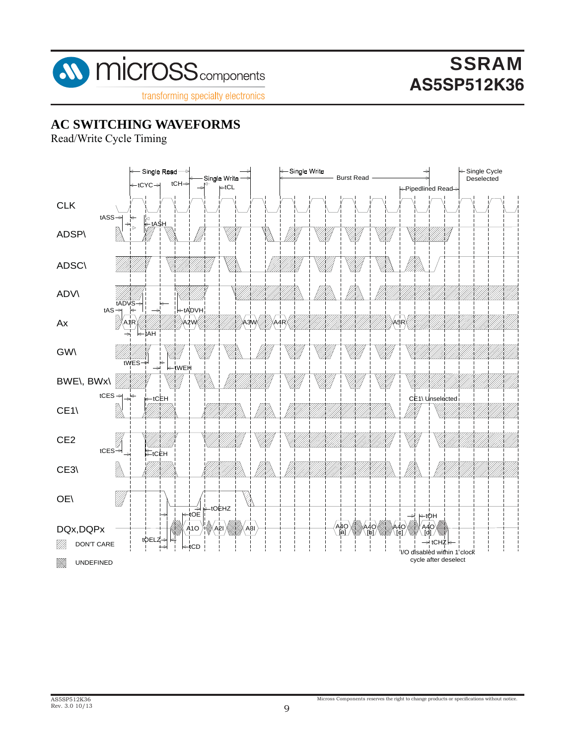

transforming specialty electronics

## **AC SWITCHING WAVEFORMS**

Read/Write Cycle Timing

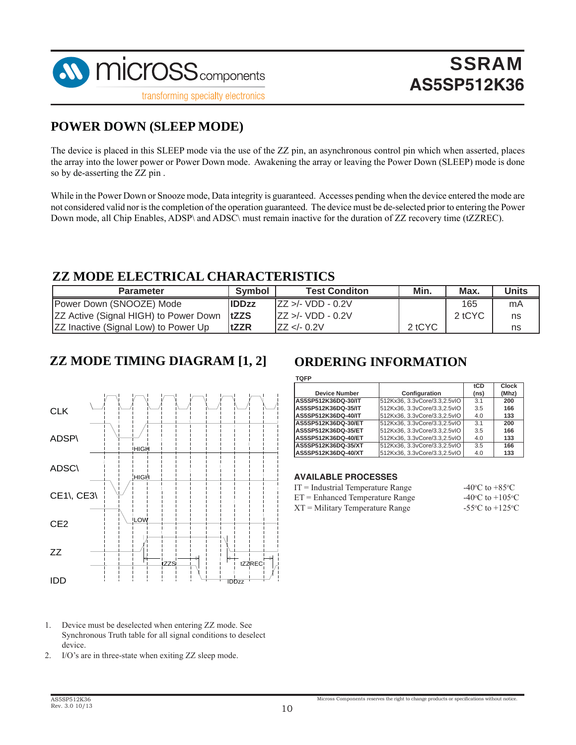

transforming specialty electronics

### **POWER DOWN (SLEEP MODE)**

The device is placed in this SLEEP mode via the use of the ZZ pin, an asynchronous control pin which when asserted, places the array into the lower power or Power Down mode. Awakening the array or leaving the Power Down (SLEEP) mode is done so by de-asserting the ZZ pin .

While in the Power Down or Snooze mode, Data integrity is guaranteed. Accesses pending when the device entered the mode are not considered valid nor is the completion of the operation guaranteed. The device must be de-selected prior to entering the Power Down mode, all Chip Enables, ADSP\ and ADSC\ must remain inactive for the duration of ZZ recovery time (tZZREC).

### **ZZ MODE ELECTRICAL CHARACTERISTICS**

| <b>Parameter</b>                                   | Symbol        | <b>Test Conditon</b> | Min.   | Max.   | Units |
|----------------------------------------------------|---------------|----------------------|--------|--------|-------|
| Power Down (SNOOZE) Mode                           | <b>IIDDzz</b> | $IZZ > - VDD - 0.2V$ |        | 165    | mA    |
| <b>ZZ Active (Signal HIGH) to Power Down  tZZS</b> |               | $IZZ > - VDD - 0.2V$ |        | 2 tCYC | ns    |
| <b>ZZ Inactive (Signal Low) to Power Up</b>        | <b>tZZR</b>   | IZZ < 0.2V           | 2 tCYC |        | ns    |

### **ZZ MODE TIMING DIAGRAM [1, 2] ORDERING INFORMATION**



#### 1. Device must be deselected when entering ZZ mode. See Synchronous Truth table for all signal conditions to deselect device.

2. I/O's are in three-state when exiting ZZ sleep mode.

**TQFP**

|                      |                               | tCD  | Clock |
|----------------------|-------------------------------|------|-------|
| <b>Device Number</b> | Configuration                 | (ns) | (Mhz) |
| AS5SP512K36DQ-30/IT  | 512Kx36, 3.3vCore/3.3.2.5vIO  | 3.1  | 200   |
| AS5SP512K36DQ-35/IT  | 512Kx36, 3.3vCore/3.3, 2.5vIO | 3.5  | 166   |
| AS5SP512K36DQ-40/IT  | 512Kx36, 3.3vCore/3.3.2.5vIO  | 4.0  | 133   |
| AS5SP512K36DQ-30/ET  | 512Kx36, 3.3vCore/3.3, 2.5vIO | 3.1  | 200   |
| AS5SP512K36DQ-35/ET  | 512Kx36, 3.3vCore/3.3.2.5vIO  | 3.5  | 166   |
| AS5SP512K36DQ-40/ET  | 512Kx36, 3.3vCore/3.3,2.5vIO  | 4.0  | 133   |
| AS5SP512K36DQ-35/XT  | 512Kx36, 3.3vCore/3.3, 2.5vIO | 3.5  | 166   |
| AS5SP512K36DQ-40/XT  | 512Kx36, 3.3vCore/3.3.2.5vIO  | 4.0  | 133   |

#### **AVAILABLE PROCESSES**

| $IT = Industrial Temperature Range$ | $-40^{\circ}$ C to $+85^{\circ}$ C  |
|-------------------------------------|-------------------------------------|
| $ET =$ Enhanced Temperature Range   | $-40^{\circ}$ C to $+105^{\circ}$ C |
| XT = Military Temperature Range     | $-55^{\circ}$ C to $+125^{\circ}$ C |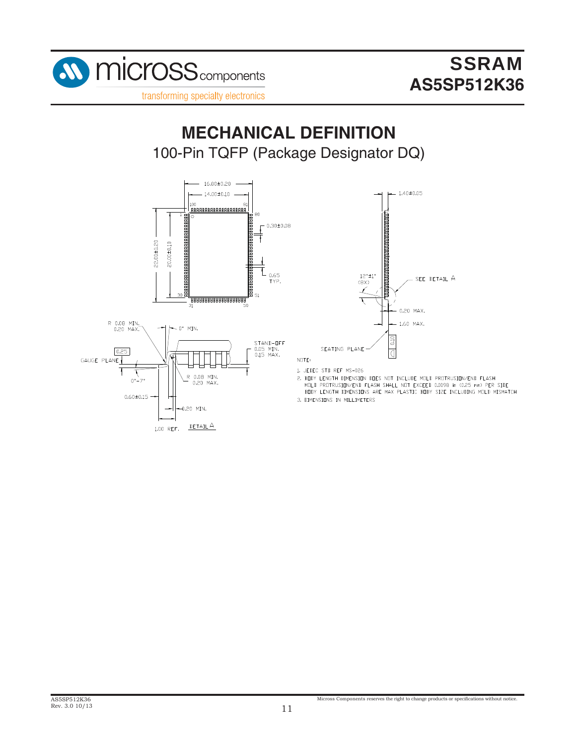

100-Pin TQFP (Package Designator DQ) **MECHANICAL DEFINITION**



1.00 REF.



 $NUTE:$ 

- 1. JEDEC STD REF MS-026 2. BODY LENGTH DIMENSION DOES NOT INCLUDE MOLD PROTRUSION/END FLASH MOLD PROTRUSION/END FLASH SHALL NOT EXCEED 0.0098 in (0.25 mm) PER SIDE BUDY LENGTH DIMENSIUNS ARE MAX PLASTIC BUDY SIZE INCLUDING MULD MISMATCH
- 3. DIMENSIONS IN MILLIMETERS